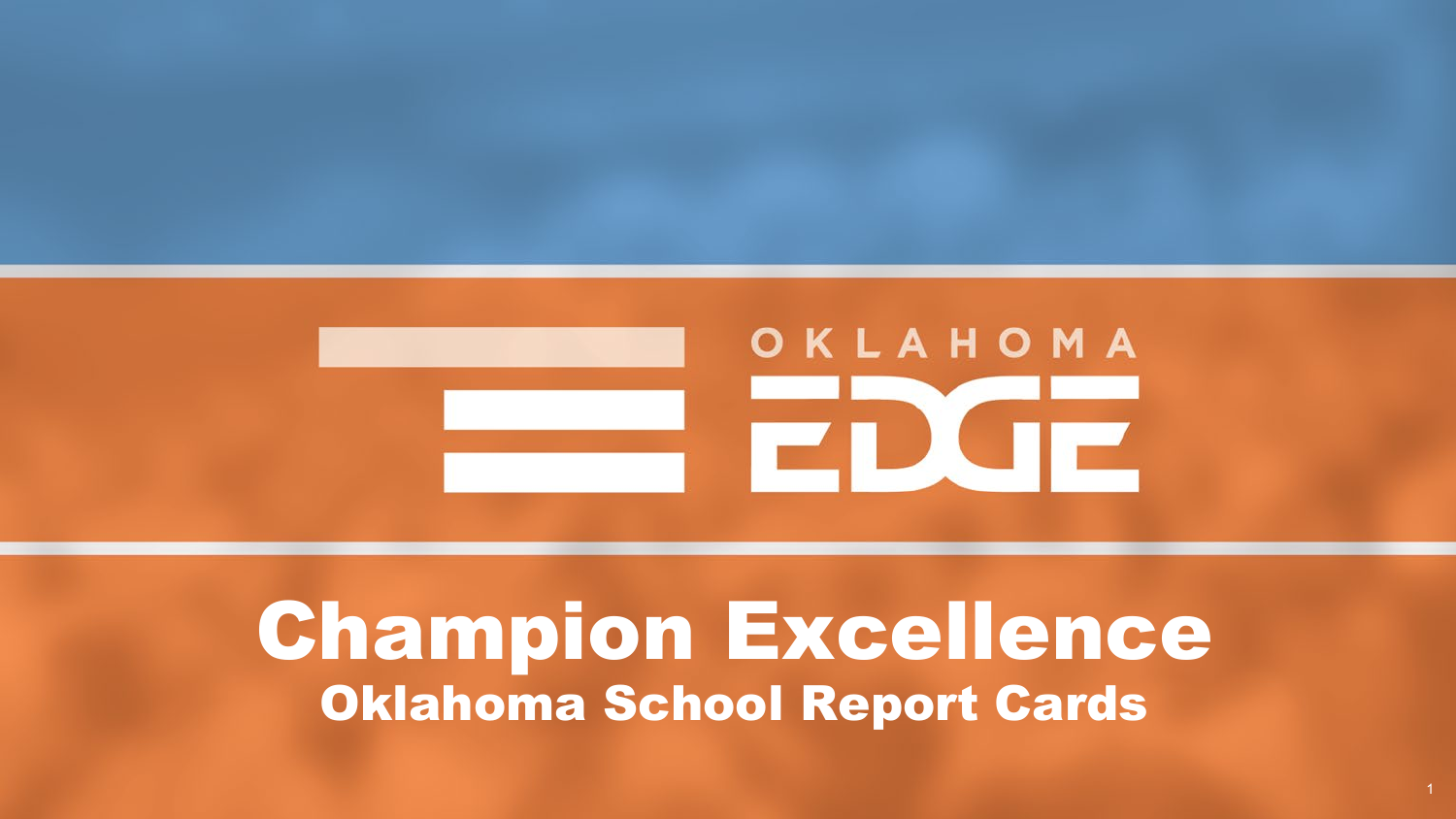

### Champion Excellence Oklahoma School Report Cards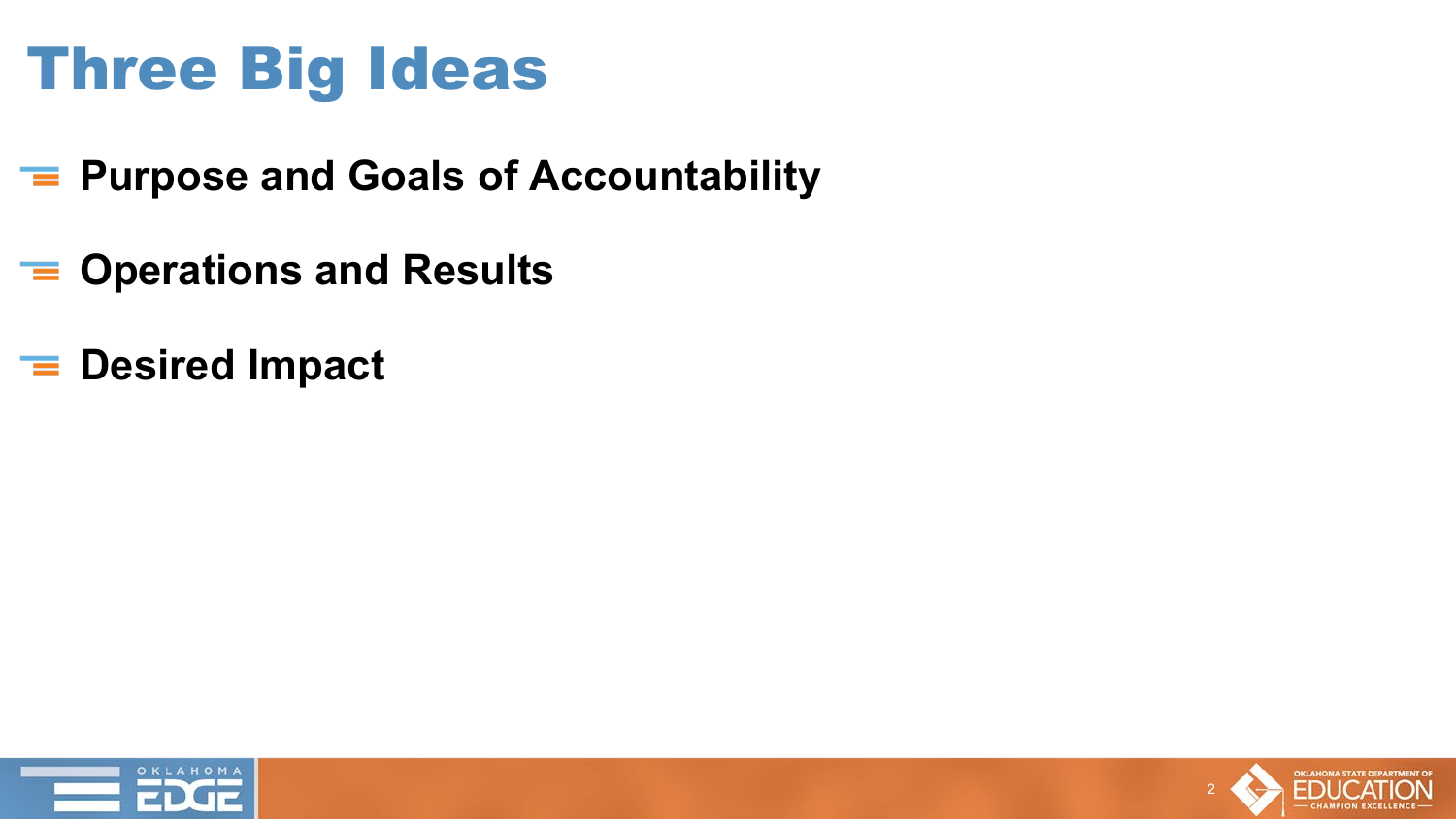### Three Big Ideas

- **Purpose and Goals of Accountability**
- **Operations and Results**
- **Desired Impact**



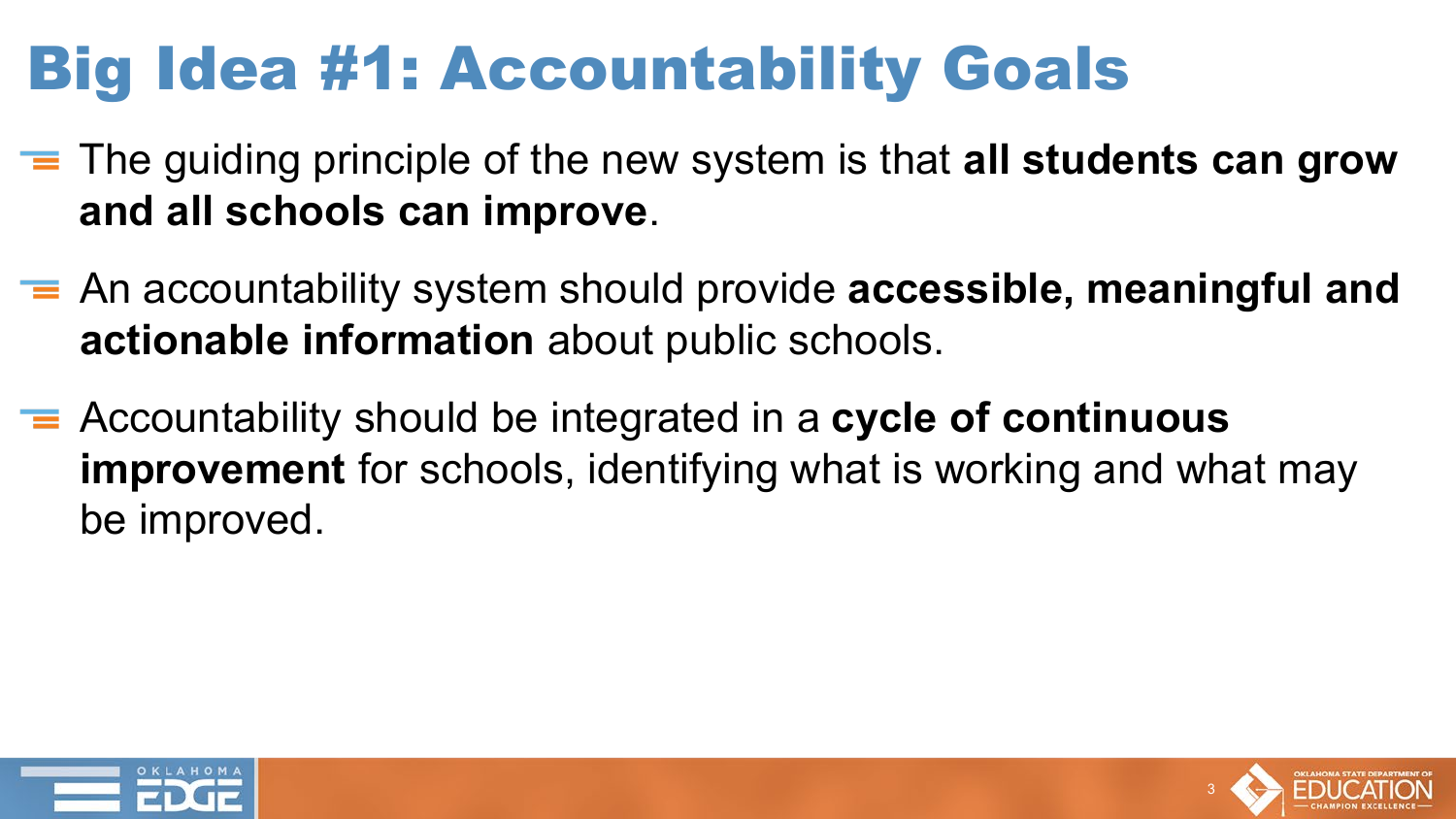# Big Idea #1: Accountability Goals

- The guiding principle of the new system is that **all students can grow and all schools can improve**.
- An accountability system should provide **accessible, meaningful and actionable information** about public schools.
- Accountability should be integrated in a **cycle of continuous improvement** for schools, identifying what is working and what may be improved.



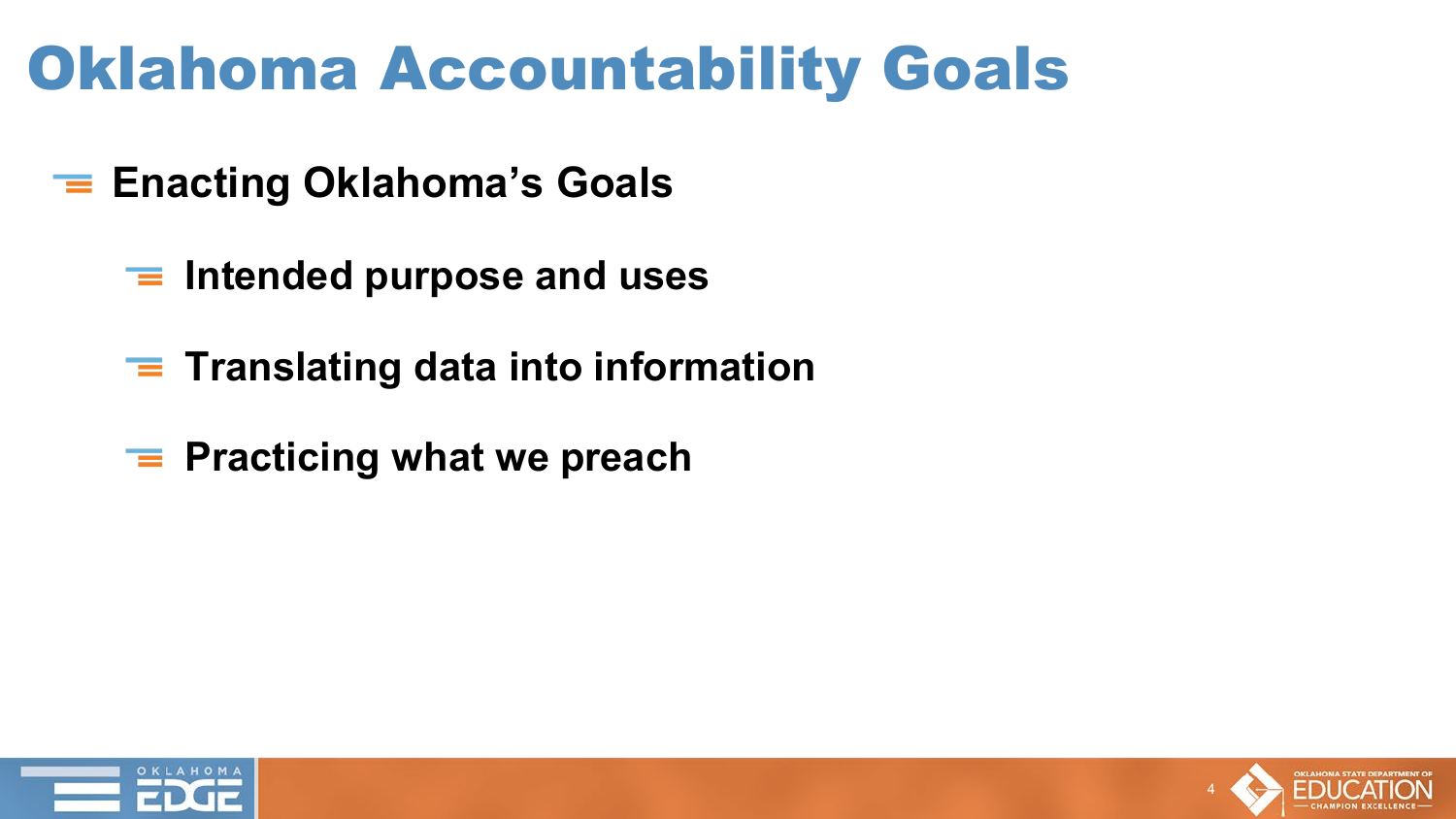## Oklahoma Accountability Goals

- **Enacting Oklahoma's Goals**
	- **Intended purpose and uses**
	- **Translating data into information**
	- **Fig. 2** Practicing what we preach



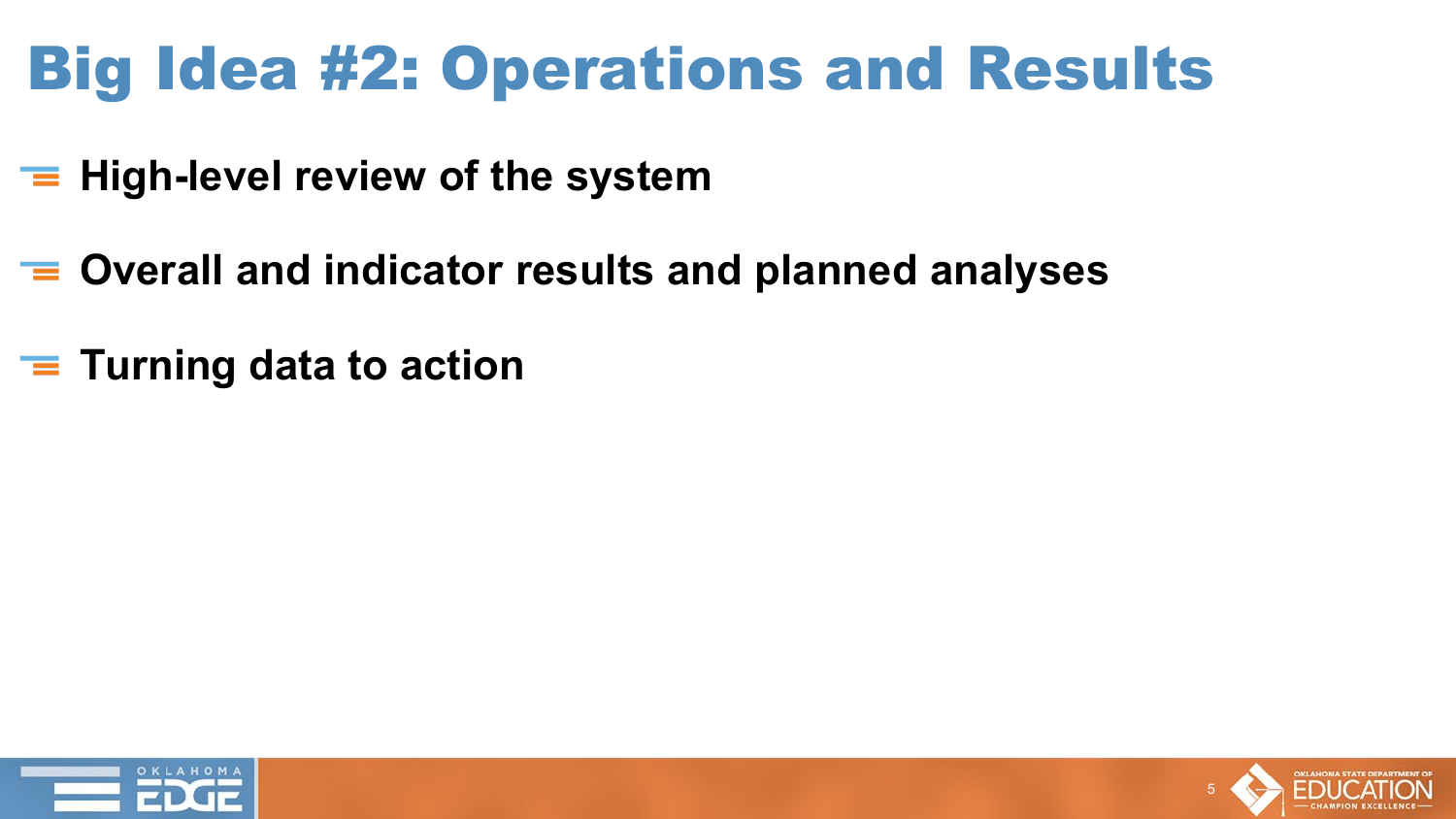# Big Idea #2: Operations and Results

- $\equiv$  High-level review of the system
- **Overall and indicator results and planned analyses**
- **Turning data to action**



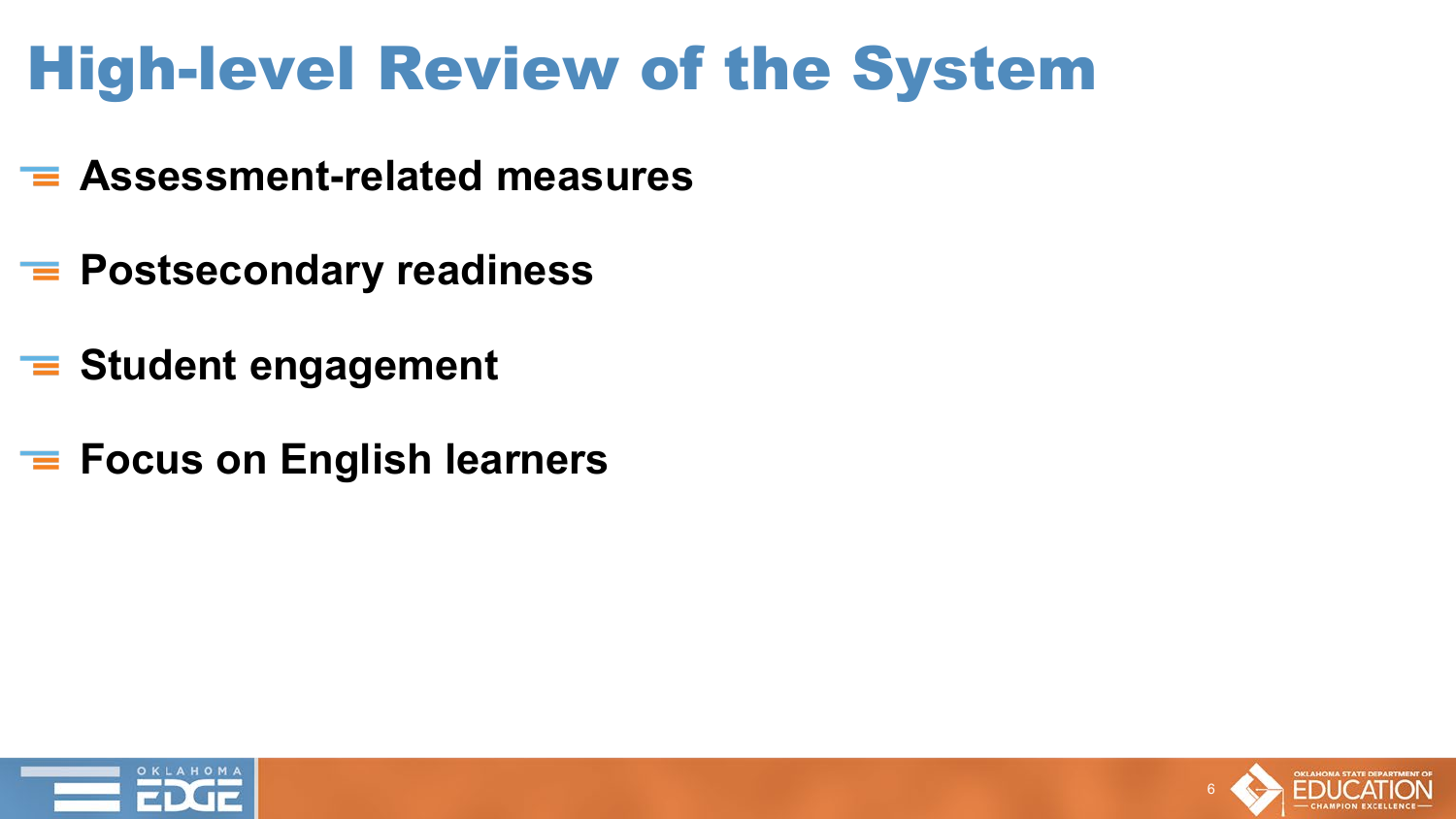# High-level Review of the System

- **Assessment-related measures**
- **Postsecondary readiness**
- **Student engagement**
- **Focus on English learners**



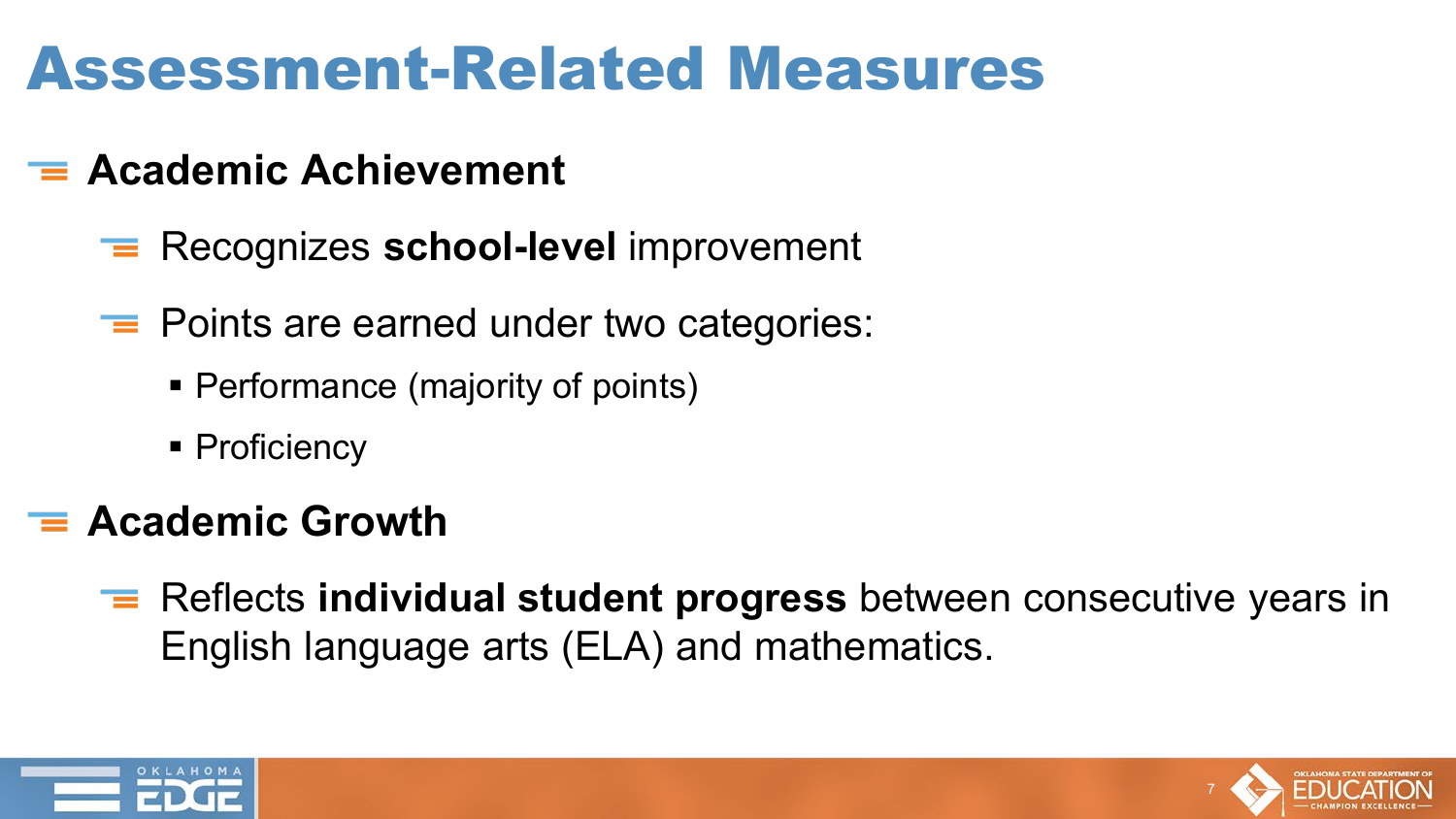### Assessment-Related Measures

#### **Academic Achievement**

- Recognizes **school-level** improvement
- $\equiv$  Points are earned under two categories:
	- **Performance (majority of points)**
	- Proficiency

#### **Academic Growth**

Reflects **individual student progress** between consecutive years in English language arts (ELA) and mathematics.



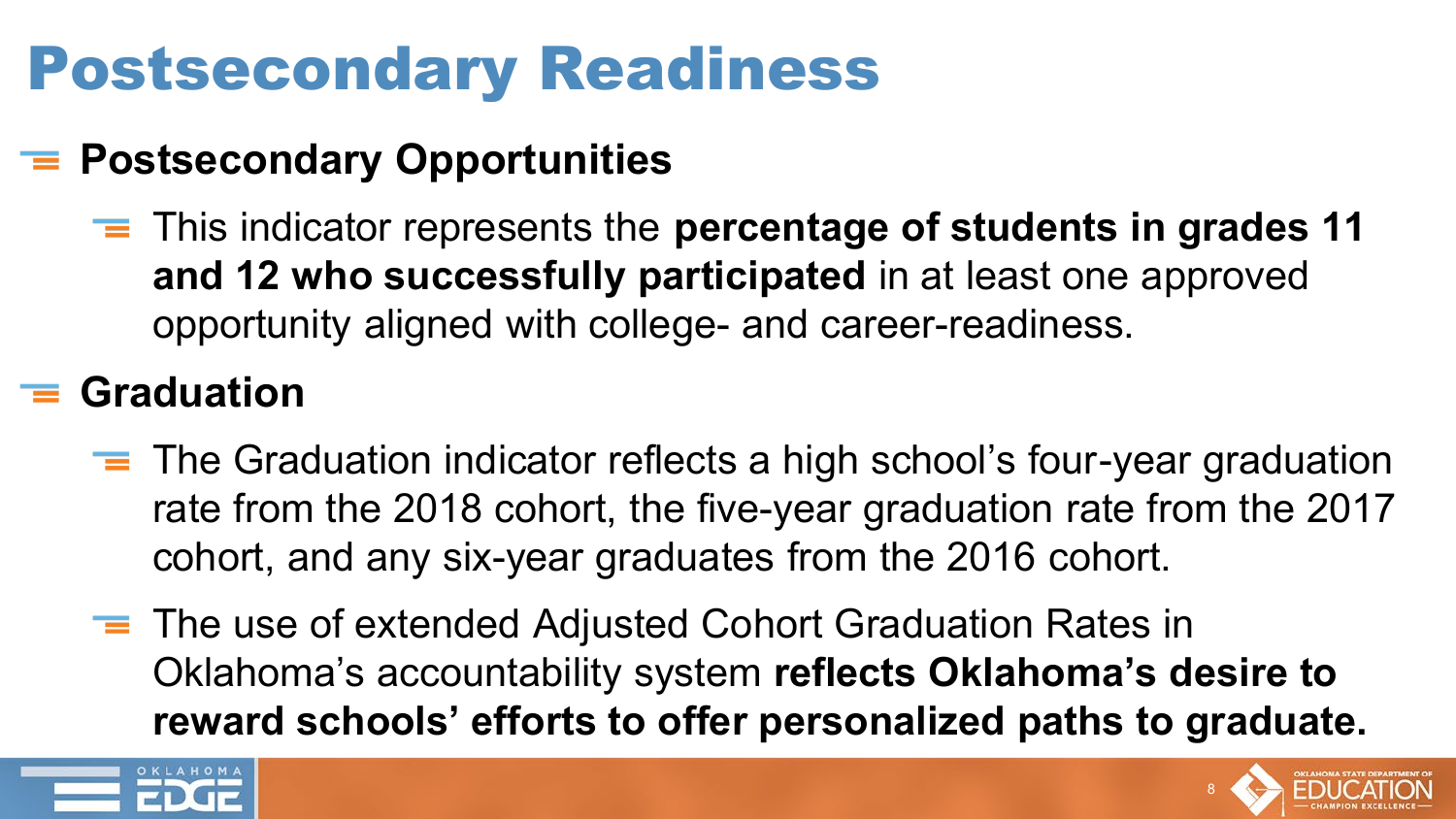# Postsecondary Readiness

#### **Postsecondary Opportunities**

This indicator represents the **percentage of students in grades 11 and 12 who successfully participated** in at least one approved opportunity aligned with college- and career-readiness.

#### **Graduation**

- $\equiv$  The Graduation indicator reflects a high school's four-year graduation rate from the 2018 cohort, the five-year graduation rate from the 2017 cohort, and any six-year graduates from the 2016 cohort.
- $\equiv$  The use of extended Adjusted Cohort Graduation Rates in Oklahoma's accountability system **reflects Oklahoma's desire to reward schools' efforts to offer personalized paths to graduate.**



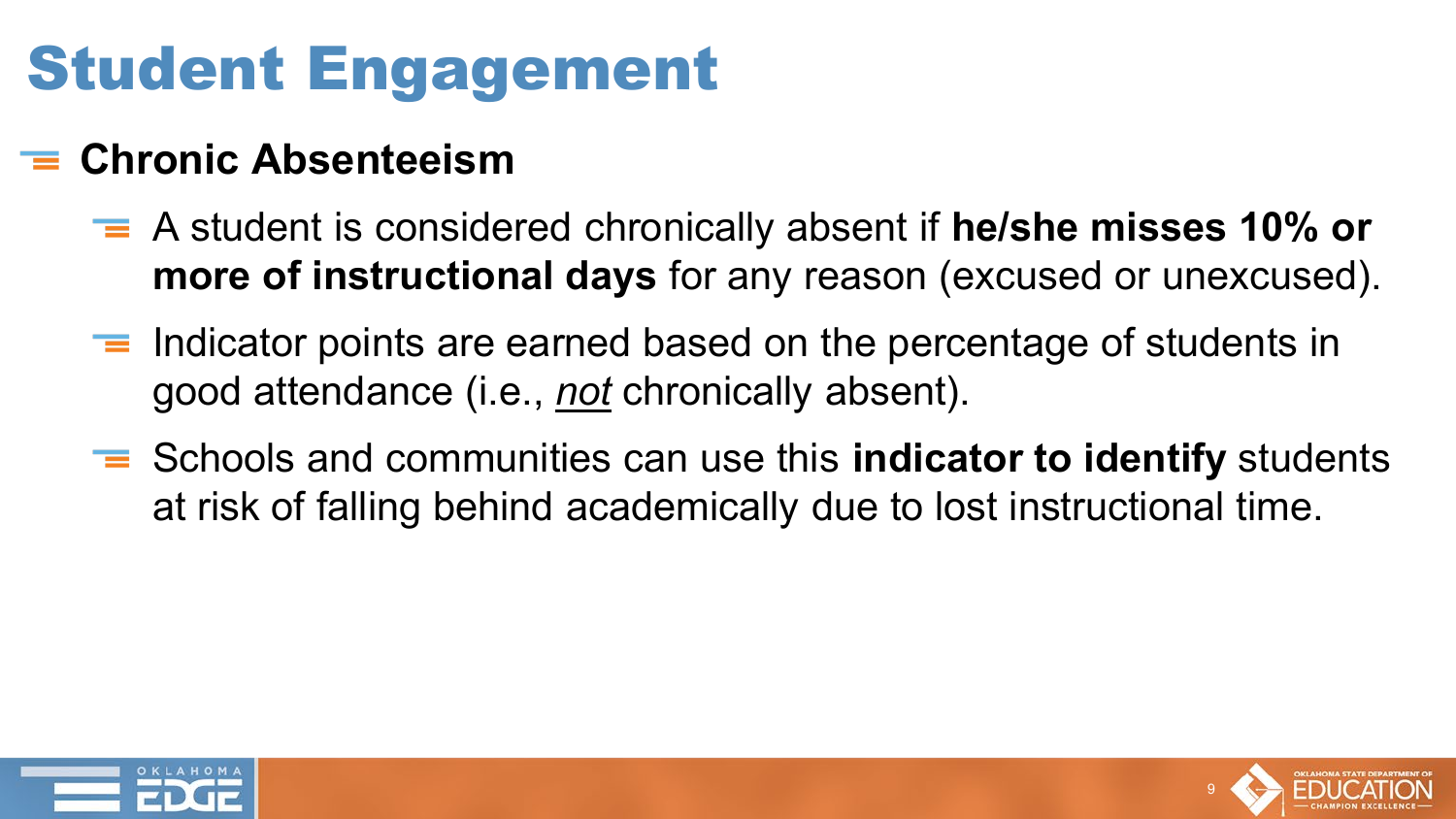# Student Engagement

#### **Chronic Absenteeism**

- A student is considered chronically absent if **he/she misses 10% or more of instructional days** for any reason (excused or unexcused).
- $\equiv$  Indicator points are earned based on the percentage of students in good attendance (i.e., *not* chronically absent).
- Schools and communities can use this **indicator to identify** students at risk of falling behind academically due to lost instructional time.



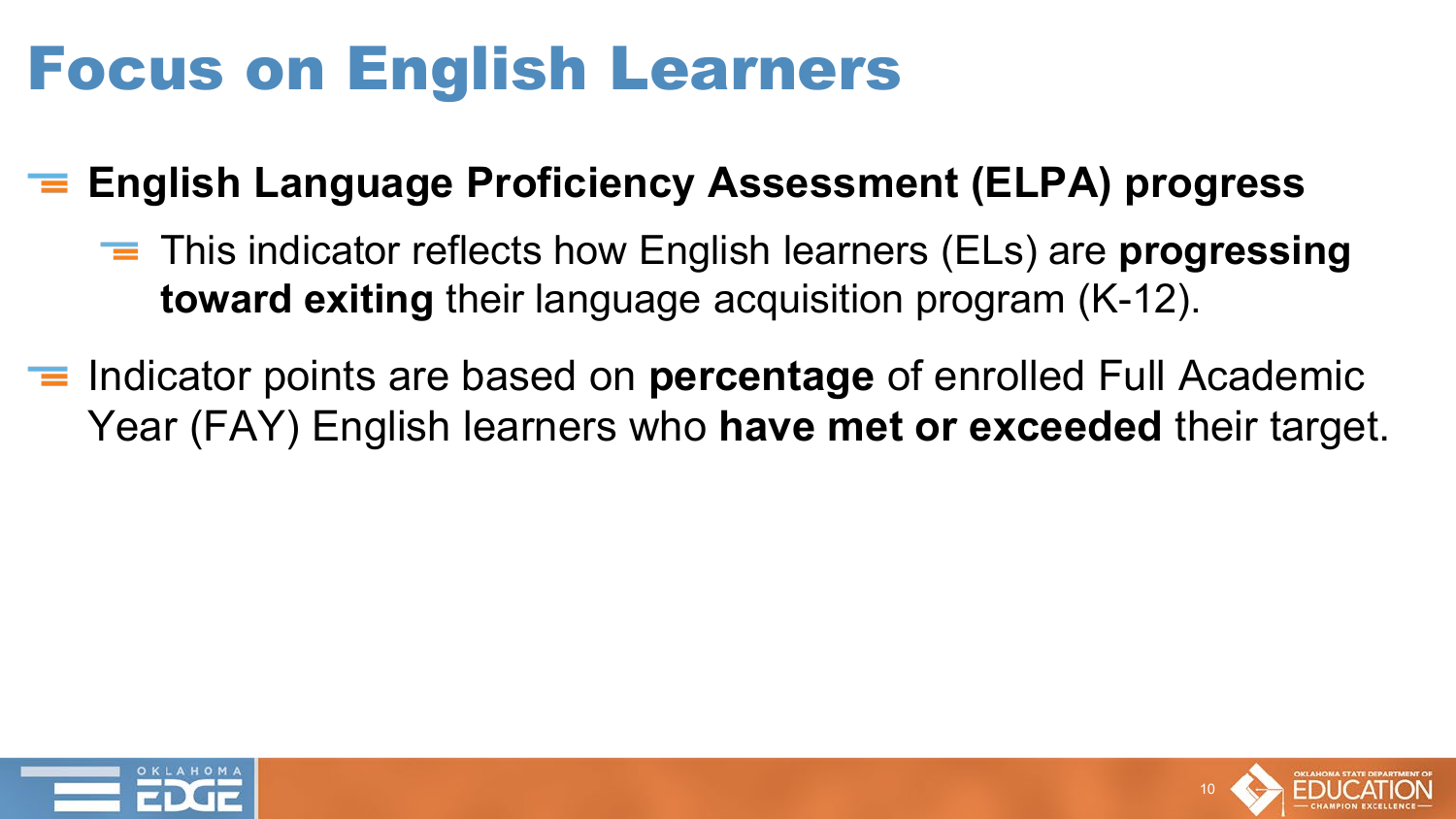### Focus on English Learners

#### **English Language Proficiency Assessment (ELPA) progress**

- This indicator reflects how English learners (ELs) are **progressing toward exiting** their language acquisition program (K-12).
- **Indicator points are based on percentage** of enrolled Full Academic Year (FAY) English learners who **have met or exceeded** their target.



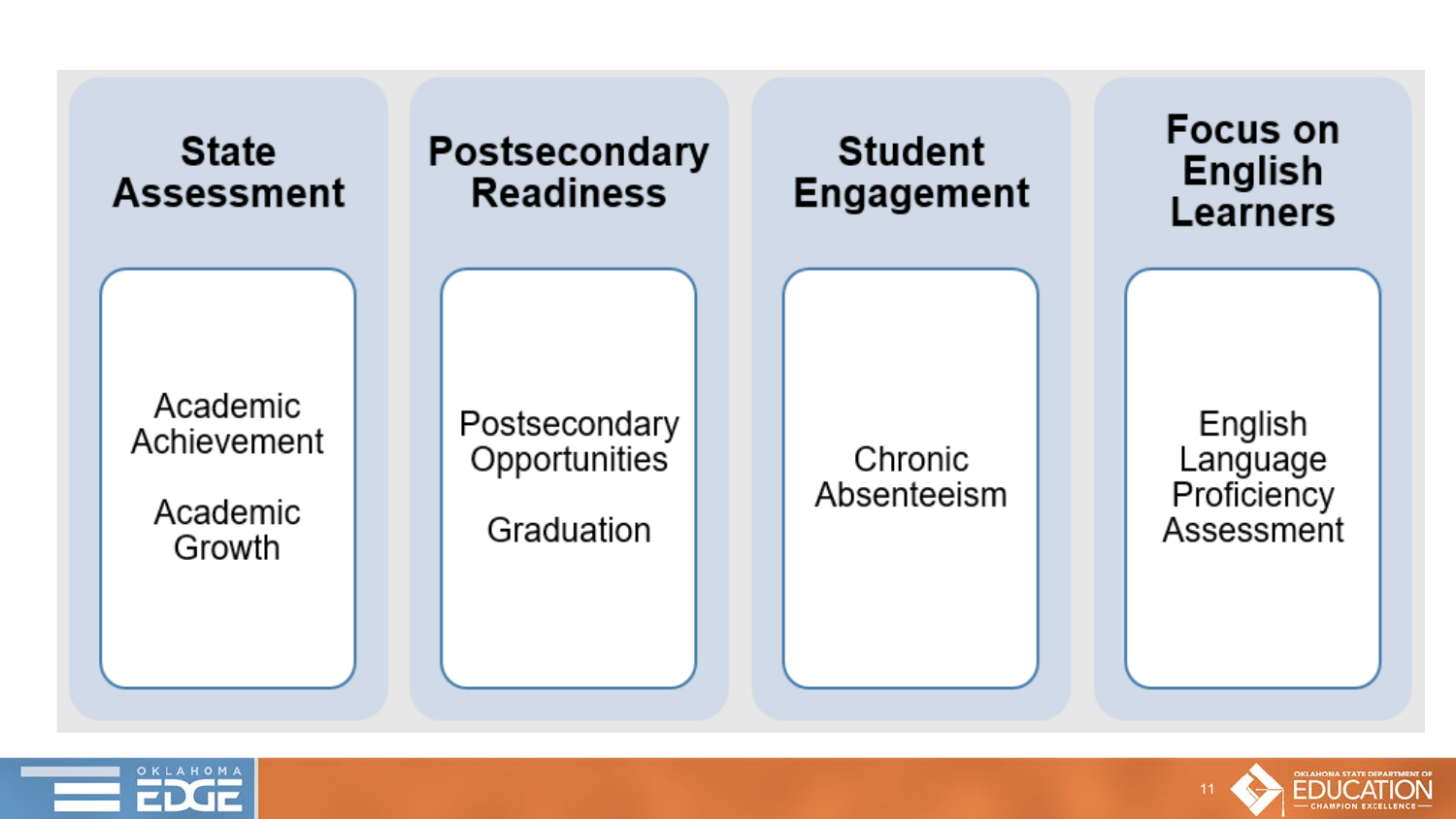



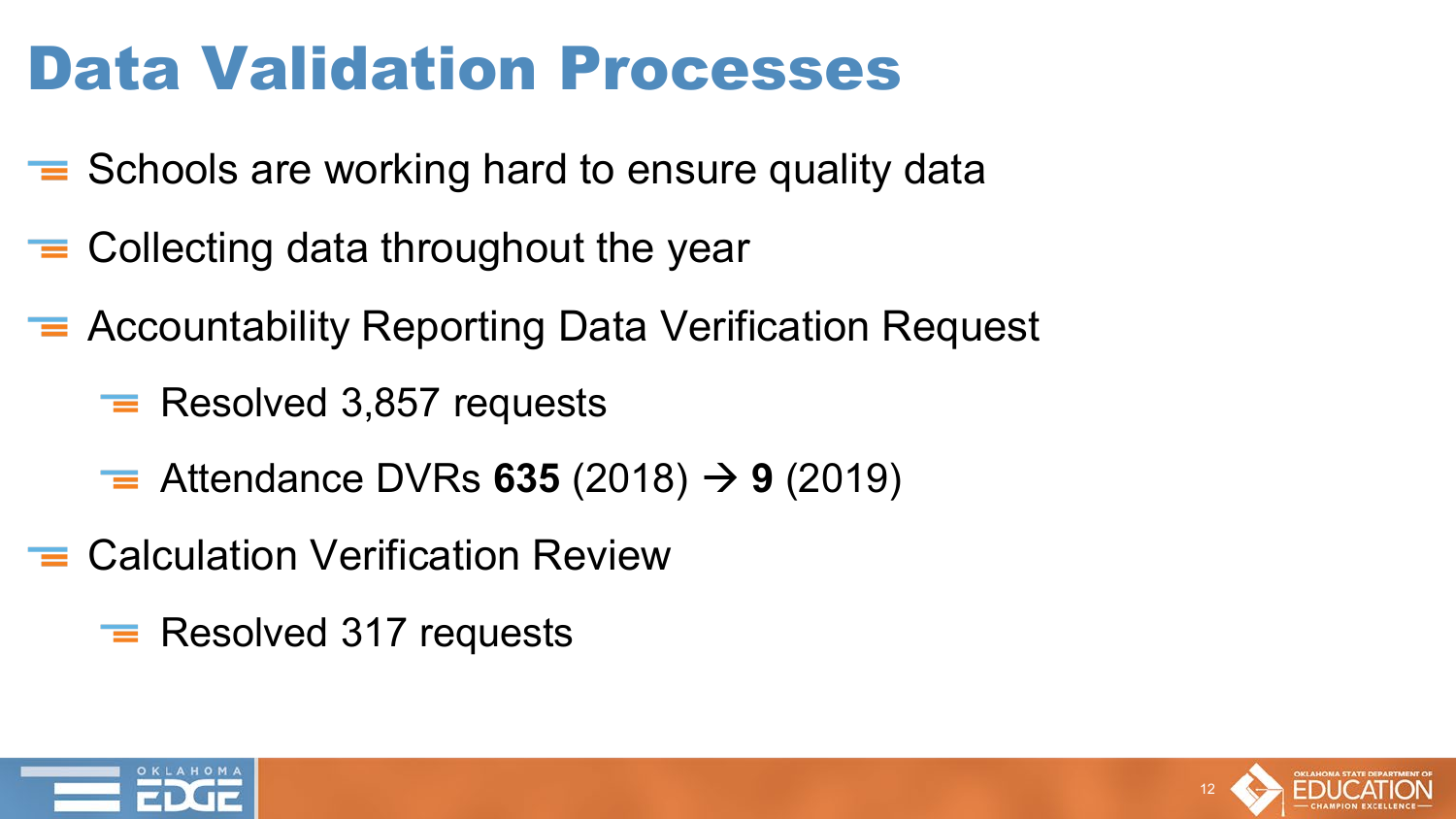### Data Validation Processes

- $\equiv$  Schools are working hard to ensure quality data
- $\equiv$  Collecting data throughout the year
- Accountability Reporting Data Verification Request
	- $\equiv$  Resolved 3,857 requests
	- $\equiv$  Attendance DVRs 635 (2018)  $\rightarrow$  9 (2019)
- **E** Calculation Verification Review
	- $\equiv$  Resolved 317 requests



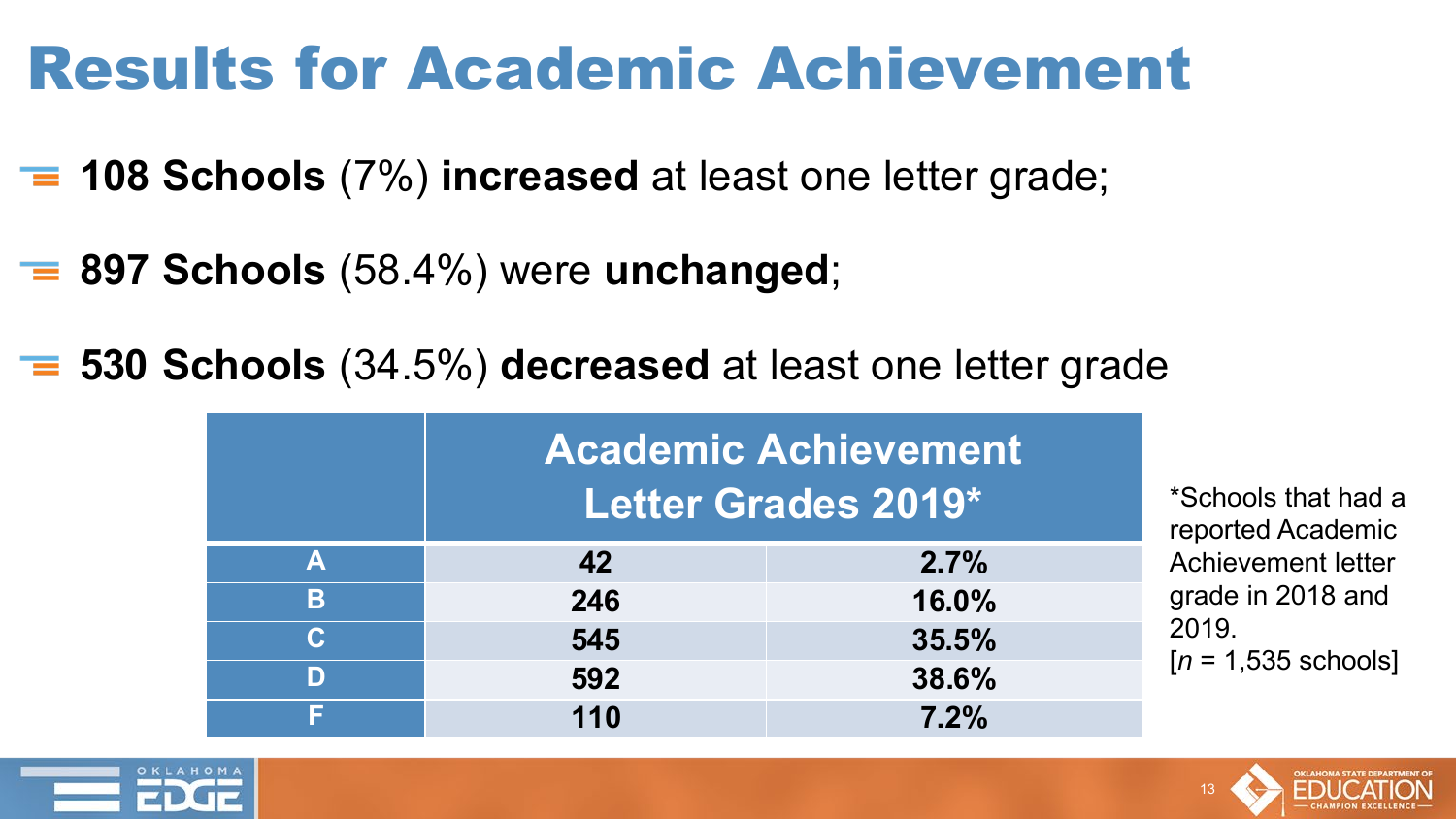### Results for Academic Achievement

- **108 Schools** (7%) **increased** at least one letter grade;
- **897 Schools** (58.4%) were **unchanged**;
- **530 Schools** (34.5%) **decreased** at least one letter grade

|             |     | <b>Academic Achievement</b><br>Letter Grades 2019* | *Schools that had a<br>reported Academic |
|-------------|-----|----------------------------------------------------|------------------------------------------|
| A           | 42  | 2.7%                                               | <b>Achievement letter</b>                |
| B           | 246 | 16.0%                                              | grade in 2018 and                        |
| $\mathbf C$ | 545 | 35.5%                                              | 2019.                                    |
| D           | 592 | 38.6%                                              | $[n = 1,535$ schools]                    |
|             | 110 | 7.2%                                               |                                          |



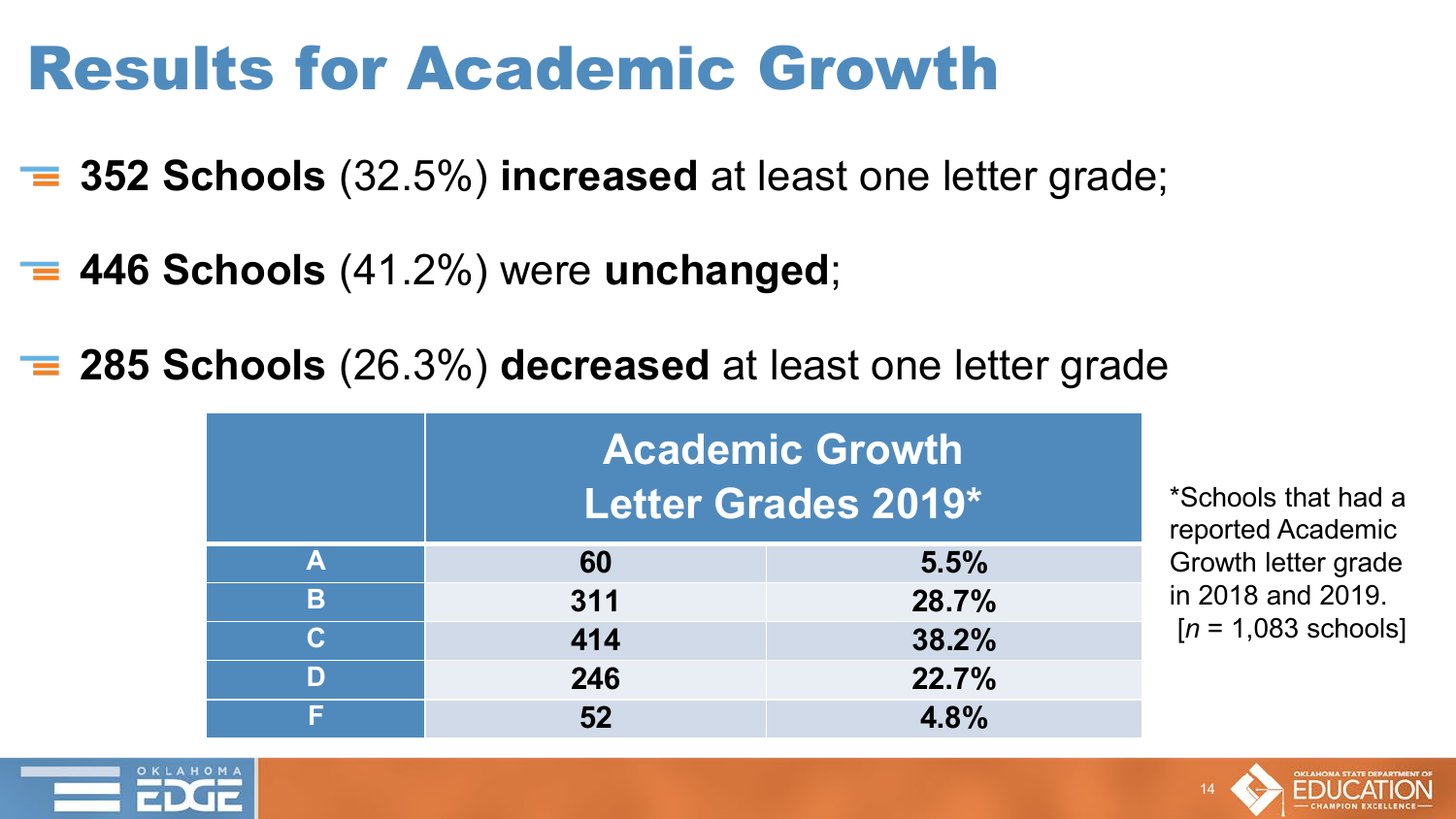### Results for Academic Growth

**352 Schools** (32.5%) **increased** at least one letter grade;

- **446 Schools** (41.2%) were **unchanged**;
- **285 Schools** (26.3%) **decreased** at least one letter grade

|             | <b>Academic Growth</b><br>*Schools that had a<br>Letter Grades 2019*<br>reported Academic |       |                       |
|-------------|-------------------------------------------------------------------------------------------|-------|-----------------------|
| Α           | 60                                                                                        | 5.5%  | Growth letter grade   |
| B           | 311                                                                                       | 28.7% | in 2018 and 2019.     |
| $ {\bf C} $ | 414                                                                                       | 38.2% | $[n = 1,083$ schools] |
| D           | 246                                                                                       | 22.7% |                       |
|             | 52                                                                                        | 4.8%  |                       |

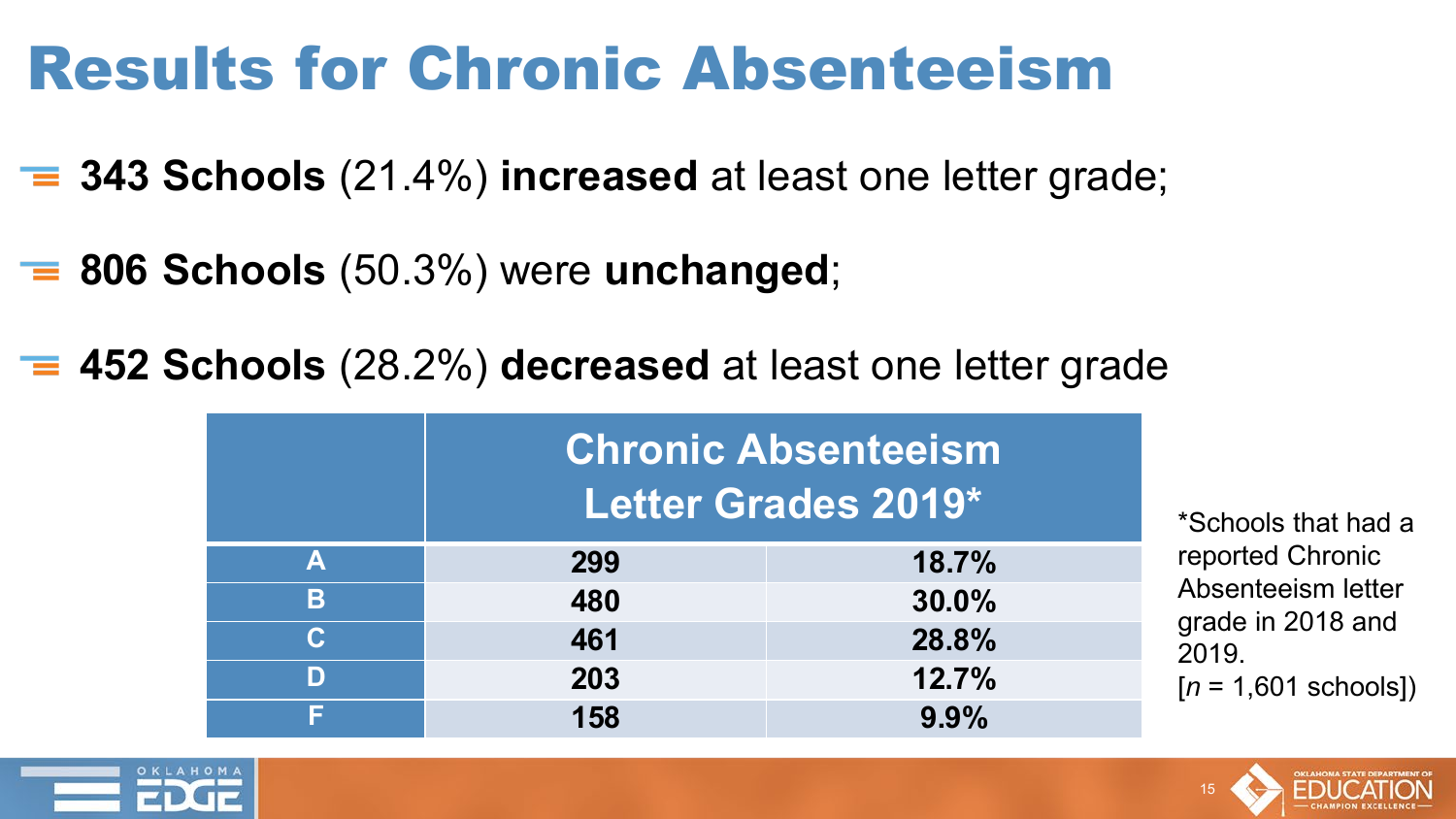### Results for Chronic Absenteeism

- **343 Schools** (21.4%) **increased** at least one letter grade;
- **806 Schools** (50.3%) were **unchanged**;
- **452 Schools** (28.2%) **decreased** at least one letter grade

|             |     | <b>Chronic Absenteeism</b><br>Letter Grades 2019* | *Schools that had a        |
|-------------|-----|---------------------------------------------------|----------------------------|
| A           | 299 | 18.7%                                             | reported Chronic           |
| B           | 480 | 30.0%                                             | Absenteeism letter         |
| $\mathbf C$ | 461 | 28.8%                                             | grade in 2018 and<br>2019. |
| D           | 203 | 12.7%                                             | $[n = 1,601$ schools])     |
|             | 158 | 9.9%                                              |                            |



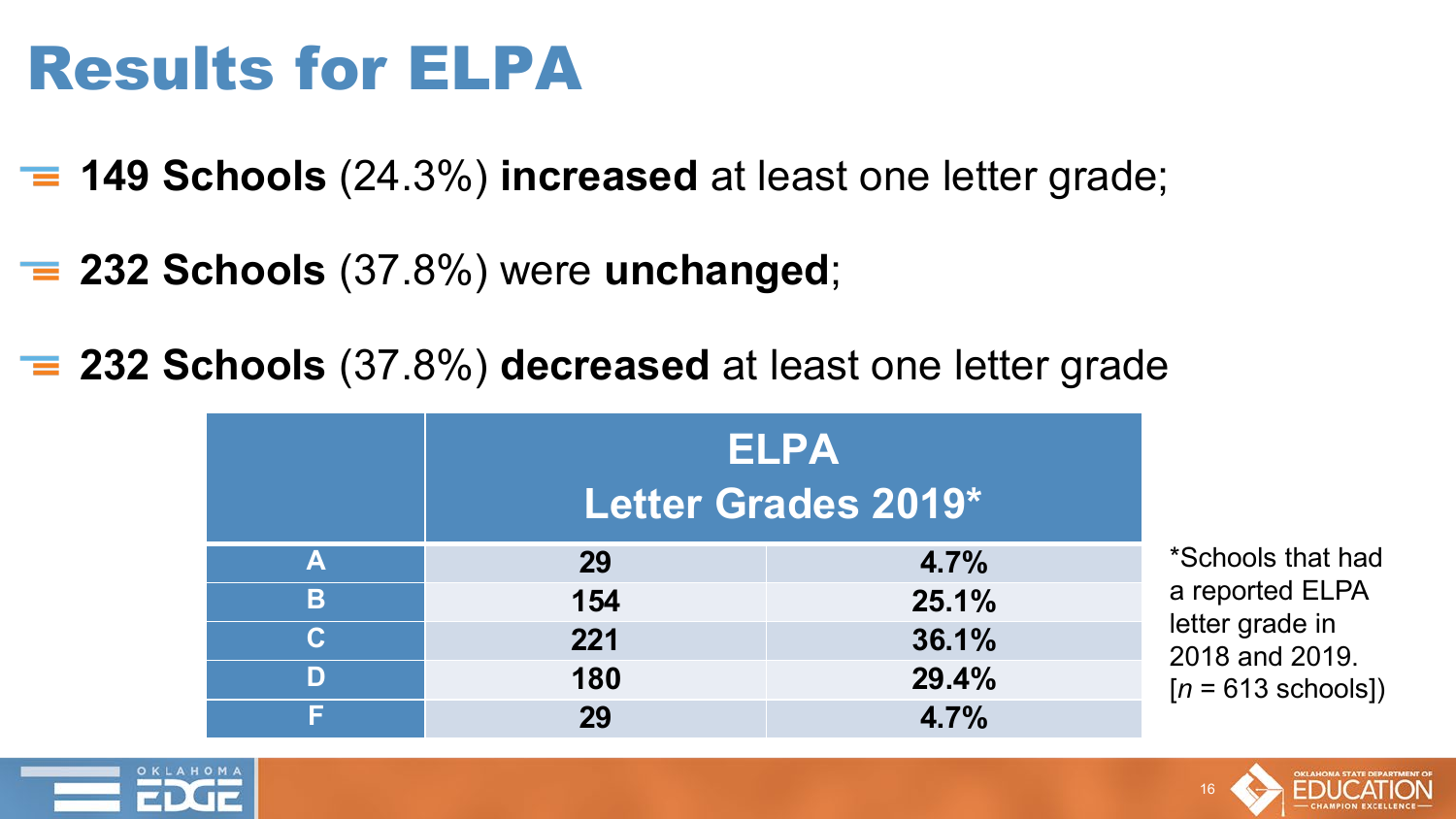### Results for ELPA

**149 Schools** (24.3%) **increased** at least one letter grade;

- **232 Schools** (37.8%) were **unchanged**;
- **232 Schools** (37.8%) **decreased** at least one letter grade

|             |     | <b>ELPA</b><br>Letter Grades 2019* |                                   |
|-------------|-----|------------------------------------|-----------------------------------|
| А           | 29  | 4.7%                               | *Schools that had                 |
| B           | 154 | 25.1%                              | a reported ELPA                   |
| $\mathbf C$ | 221 | 36.1%                              | letter grade in<br>2018 and 2019. |
| D           | 180 | 29.4%                              | $[n = 613$ schools])              |
|             | 29  | 4.7%                               |                                   |



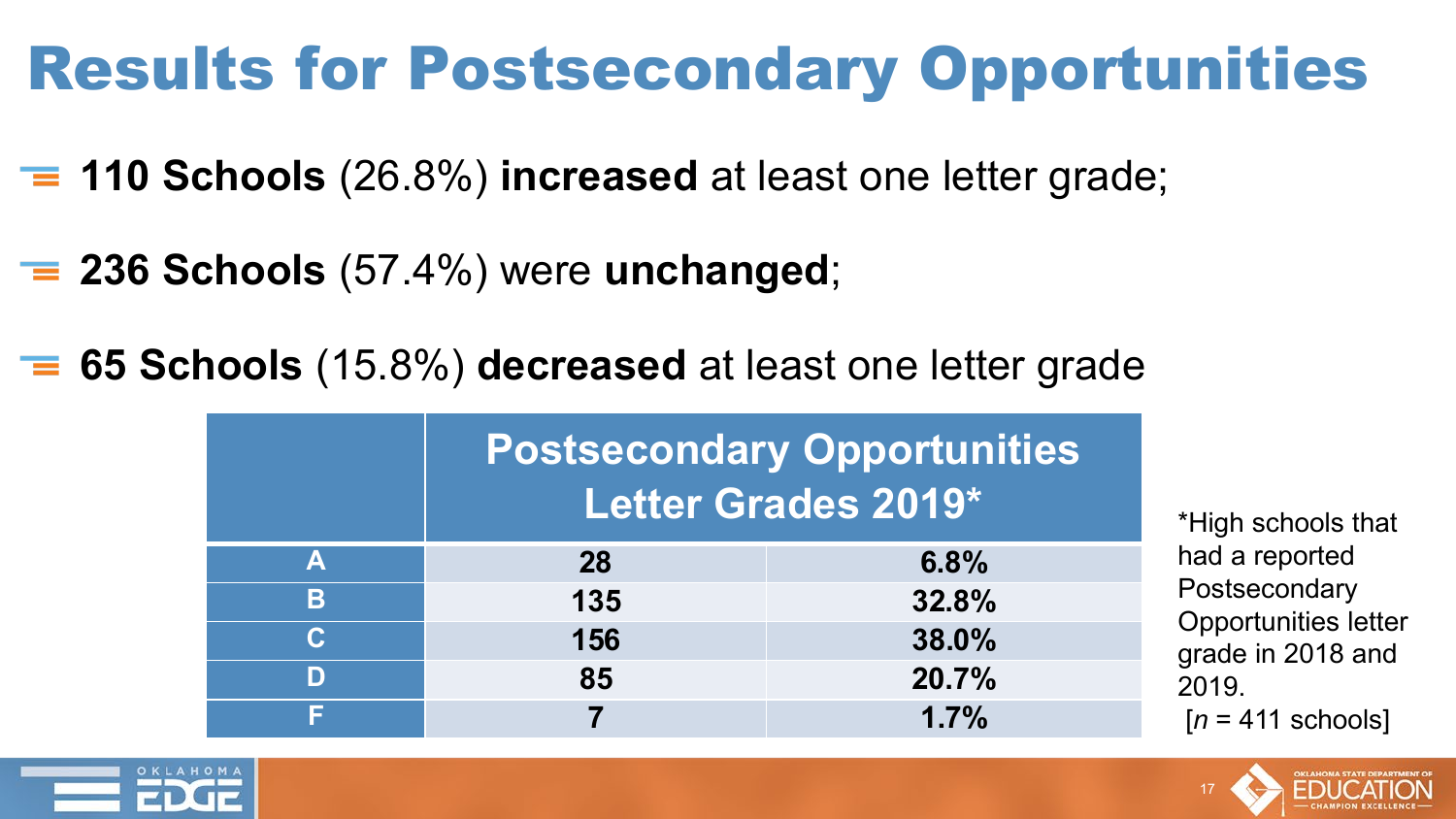# Results for Postsecondary Opportunities

- **110 Schools** (26.8%) **increased** at least one letter grade;
- **236 Schools** (57.4%) were **unchanged**;
- **65 Schools** (15.8%) **decreased** at least one letter grade

|             | <b>Postsecondary Opportunities</b><br>Letter Grades 2019* |       |
|-------------|-----------------------------------------------------------|-------|
| Α           | 28                                                        | 6.8%  |
| B           | 135                                                       | 32.8% |
| $\mathbf C$ | 156                                                       | 38.0% |
| D           | 85                                                        | 20.7% |
| Ξ           |                                                           | 1.7%  |

\*High schools that had a reported **Postsecondary** Opportunities letter grade in 2018 and 2019. [*n* = 411 schools]



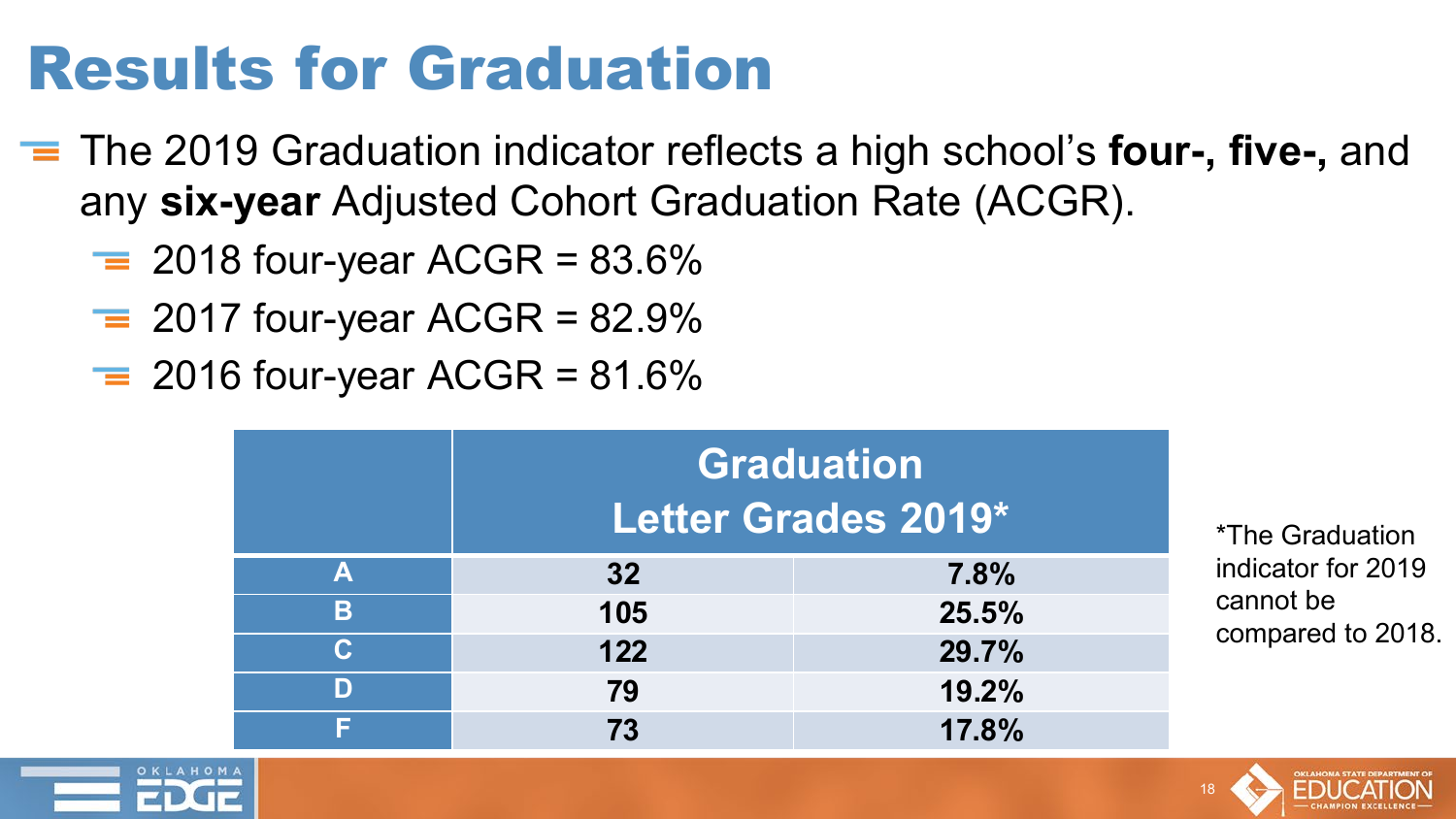## Results for Graduation

- The 2019 Graduation indicator reflects a high school's **four-, five-,** and any **six-year** Adjusted Cohort Graduation Rate (ACGR).
	- $\equiv$  2018 four-year ACGR = 83.6%
	- $\equiv$  2017 four-year ACGR = 82.9%
	- $\equiv$  2016 four-year ACGR = 81.6%

|   |     | <b>Graduation</b><br>Letter Grades 2019* |
|---|-----|------------------------------------------|
| А | 32  | 7.8%                                     |
| B | 105 | 25.5%                                    |
| C | 122 | 29.7%                                    |
| D | 79  | 19.2%                                    |
| Ξ | 73  | 17.8%                                    |

\*The Graduation indicator for 2019 cannot be compared to 2018.



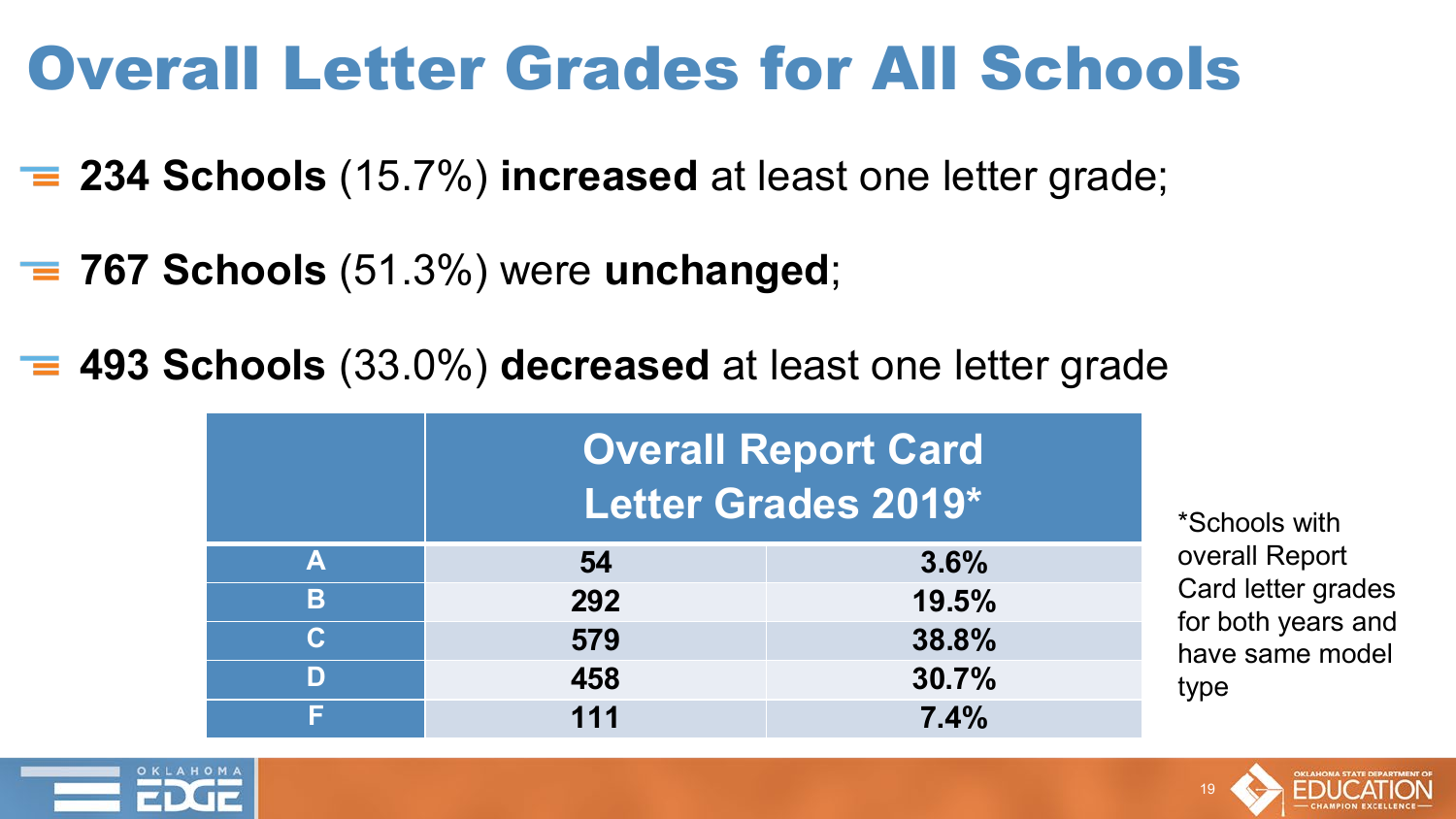### Overall Letter Grades for All Schools

- **234 Schools** (15.7%) **increased** at least one letter grade;
- **767 Schools** (51.3%) were **unchanged**;
- **493 Schools** (33.0%) **decreased** at least one letter grade

| <b>Overall Report Card</b><br>Letter Grades 2019* |     |       |  |
|---------------------------------------------------|-----|-------|--|
| A                                                 | 54  | 3.6%  |  |
| B.                                                | 292 | 19.5% |  |
| $\mathbf C$                                       | 579 | 38.8% |  |
| D                                                 | 458 | 30.7% |  |
|                                                   | 111 | 7.4%  |  |





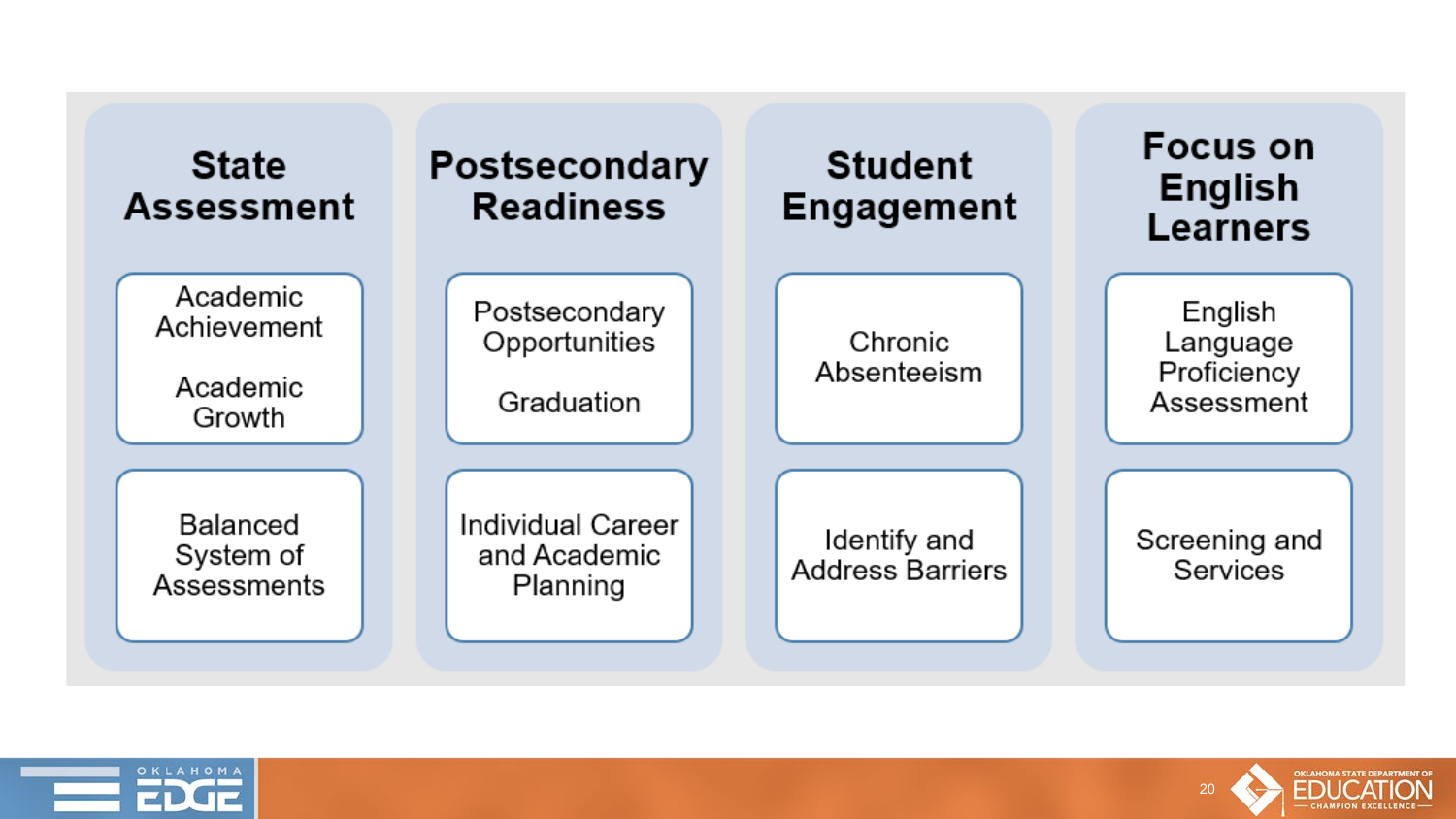



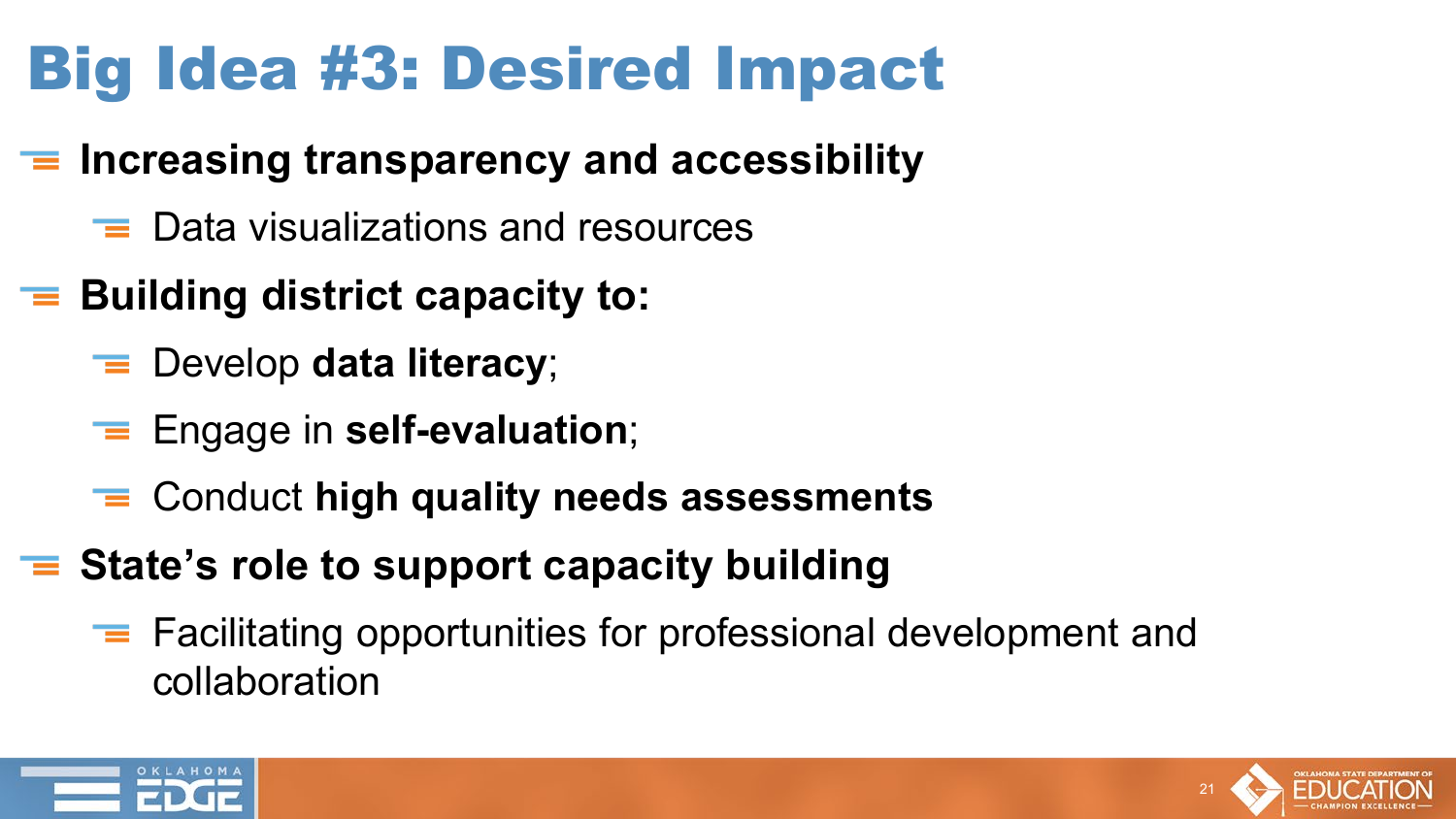# Big Idea #3: Desired Impact

#### **Increasing transparency and accessibility**

- $\equiv$  Data visualizations and resources
- **E** Building district capacity to:
	- Develop **data literacy**;
	- Engage in **self-evaluation**;
	- Conduct **high quality needs assessments**
- **State's role to support capacity building**
	- $\equiv$  Facilitating opportunities for professional development and collaboration



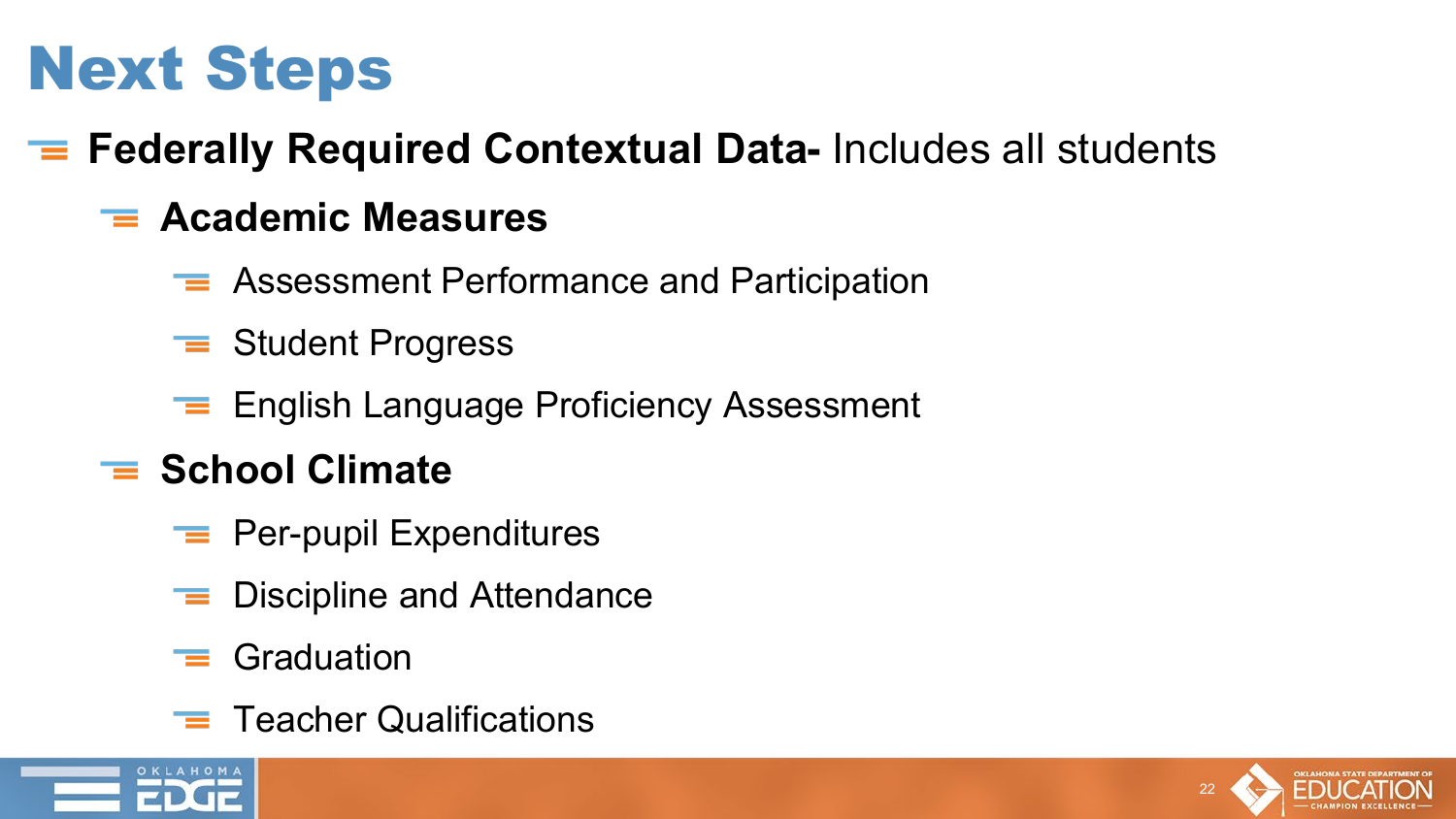# Next Steps

#### **Federally Required Contextual Data-** Includes all students

#### **Academic Measures**

- **E** Assessment Performance and Participation
- $\equiv$  Student Progress
- **English Language Proficiency Assessment**

#### $\equiv$  School Climate

- $\equiv$  Per-pupil Expenditures
- Discipline and Attendance
- $\equiv$  Graduation
- $\equiv$  Teacher Qualifications